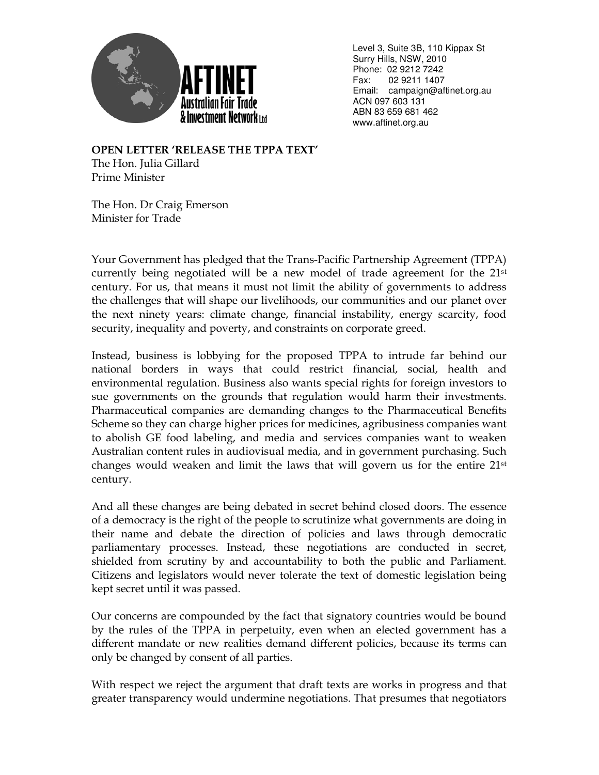

 Level 3, Suite 3B, 110 Kippax St Surry Hills, NSW, 2010 Phone: 02 9212 7242 Fax: 02 9211 1407 Email: campaign@aftinet.org.au ACN 097 603 131 ABN 83 659 681 462 www.aftinet.org.au

OPEN LETTER 'RELEASE THE TPPA TEXT' The Hon. Julia Gillard Prime Minister

The Hon. Dr Craig Emerson Minister for Trade

Your Government has pledged that the Trans-Pacific Partnership Agreement (TPPA) currently being negotiated will be a new model of trade agreement for the 21st century. For us, that means it must not limit the ability of governments to address the challenges that will shape our livelihoods, our communities and our planet over the next ninety years: climate change, financial instability, energy scarcity, food security, inequality and poverty, and constraints on corporate greed.

Instead, business is lobbying for the proposed TPPA to intrude far behind our national borders in ways that could restrict financial, social, health and environmental regulation. Business also wants special rights for foreign investors to sue governments on the grounds that regulation would harm their investments. Pharmaceutical companies are demanding changes to the Pharmaceutical Benefits Scheme so they can charge higher prices for medicines, agribusiness companies want to abolish GE food labeling, and media and services companies want to weaken Australian content rules in audiovisual media, and in government purchasing. Such changes would weaken and limit the laws that will govern us for the entire  $21<sup>st</sup>$ century.

And all these changes are being debated in secret behind closed doors. The essence of a democracy is the right of the people to scrutinize what governments are doing in their name and debate the direction of policies and laws through democratic parliamentary processes. Instead, these negotiations are conducted in secret, shielded from scrutiny by and accountability to both the public and Parliament. Citizens and legislators would never tolerate the text of domestic legislation being kept secret until it was passed.

Our concerns are compounded by the fact that signatory countries would be bound by the rules of the TPPA in perpetuity, even when an elected government has a different mandate or new realities demand different policies, because its terms can only be changed by consent of all parties.

With respect we reject the argument that draft texts are works in progress and that greater transparency would undermine negotiations. That presumes that negotiators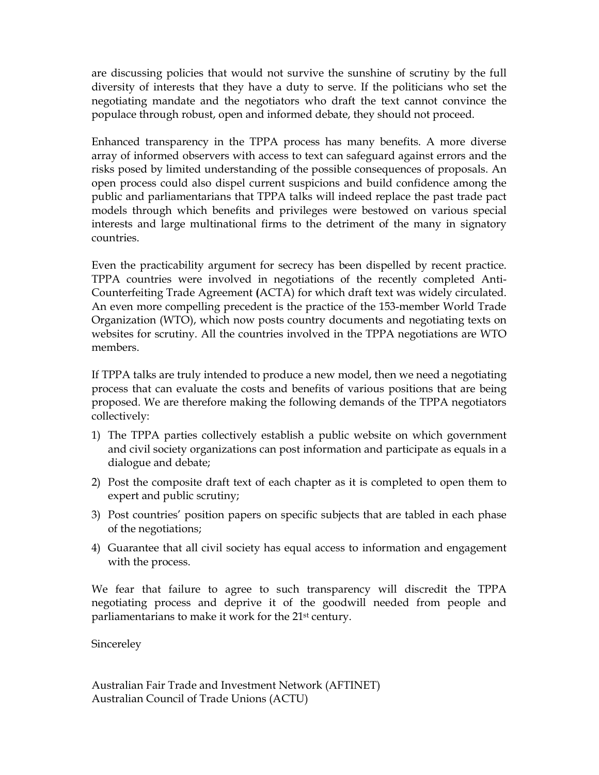are discussing policies that would not survive the sunshine of scrutiny by the full diversity of interests that they have a duty to serve. If the politicians who set the negotiating mandate and the negotiators who draft the text cannot convince the populace through robust, open and informed debate, they should not proceed.

Enhanced transparency in the TPPA process has many benefits. A more diverse array of informed observers with access to text can safeguard against errors and the risks posed by limited understanding of the possible consequences of proposals. An open process could also dispel current suspicions and build confidence among the public and parliamentarians that TPPA talks will indeed replace the past trade pact models through which benefits and privileges were bestowed on various special interests and large multinational firms to the detriment of the many in signatory countries.

Even the practicability argument for secrecy has been dispelled by recent practice. TPPA countries were involved in negotiations of the recently completed Anti-Counterfeiting Trade Agreement (ACTA) for which draft text was widely circulated. An even more compelling precedent is the practice of the 153-member World Trade Organization (WTO), which now posts country documents and negotiating texts on websites for scrutiny. All the countries involved in the TPPA negotiations are WTO members.

If TPPA talks are truly intended to produce a new model, then we need a negotiating process that can evaluate the costs and benefits of various positions that are being proposed. We are therefore making the following demands of the TPPA negotiators collectively:

- 1) The TPPA parties collectively establish a public website on which government and civil society organizations can post information and participate as equals in a dialogue and debate;
- 2) Post the composite draft text of each chapter as it is completed to open them to expert and public scrutiny;
- 3) Post countries' position papers on specific subjects that are tabled in each phase of the negotiations;
- 4) Guarantee that all civil society has equal access to information and engagement with the process.

We fear that failure to agree to such transparency will discredit the TPPA negotiating process and deprive it of the goodwill needed from people and parliamentarians to make it work for the 21<sup>st</sup> century.

**Sincereley** 

Australian Fair Trade and Investment Network (AFTINET) Australian Council of Trade Unions (ACTU)